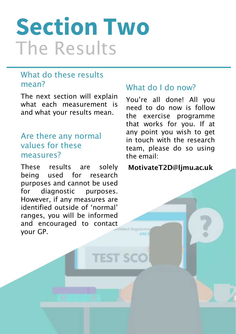# **Section Two**  The Results

#### What do these results mean?

The next section will explain what each measurement is and what your results mean.

#### Are there any normal values for these measures?

These results are solely being used for research purposes and cannot be used for diagnostic purposes. However, if any measures are identified outside of 'normal' ranges, you will be informed and encouraged to contact your GP.

**TEST SCO** 

#### What do I do now?

You're all done! All you need to do now is follow the exercise programme that works for you. If at any point you wish to get in touch with the research team, please do so using the email:

MotivateT2D@ljmu.ac.uk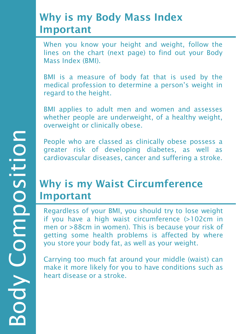#### Why is my Body Mass Index Important

When you know your height and weight, follow the lines on the chart (next page) to find out your Body Mass Index (BMI).

BMI is a measure of body fat that is used by the medical profession to determine a person's weight in regard to the height.

BMI applies to adult men and women and assesses whether people are underweight, of a healthy weight, overweight or clinically obese.

People who are classed as clinically obese possess a greater risk of developing diabetes, as well as cardiovascular diseases, cancer and suffering a stroke.

### Why is my Waist Circumference Important

Regardless of your BMI, you should try to lose weight if you have a high waist circumference (>102cm in men or >88cm in women). This is because your risk of getting some health problems is affected by where you store your body fat, as well as your weight.

Carrying too much fat around your middle (waist) can make it more likely for you to have conditions such as heart disease or a stroke.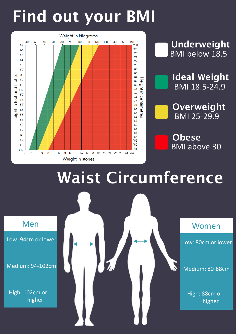## Find out your BMI





Underweight

**Obese** BMI above 30

## Waist Circumference

Low: 94cm or lower

Medium: 94-102cm

High: 102cm or higher



Low: 80cm or lower

Medium: 80-88cm

High: 88cm or higher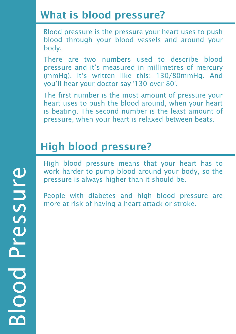### What is blood pressure?

Blood pressure is the pressure your heart uses to push blood through your blood vessels and around your body.

There are two numbers used to describe blood pressure and it's measured in millimetres of mercury (mmHg). It's written like this: 130/80mmHg. And you'll hear your doctor say '130 over 80'.

The first number is the most amount of pressure your heart uses to push the blood around, when your heart is beating. The second number is the least amount of pressure, when your heart is relaxed between beats.

### High blood pressure?

High blood pressure means that your heart has to work harder to pump blood around your body, so the pressure is always higher than it should be.

People with diabetes and high blood pressure are more at risk of having a heart attack or stroke.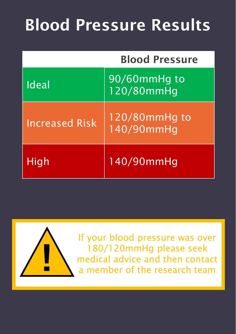## Blood Pressure Results

|                       | <b>Blood Pressure</b>       |  |
|-----------------------|-----------------------------|--|
| Ideal                 | 90/60mmHg to<br>120/80mmHg  |  |
| <b>Increased Risk</b> | 120/80mmHg to<br>140/90mmHg |  |
| High                  | 140/90mmHg                  |  |



If your blood pressure was over 180/120mmHg please seek medical advice and then contact a member of the research team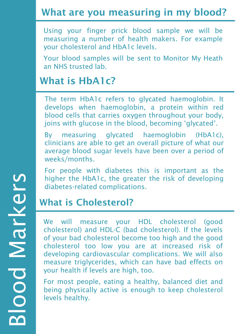#### What are you measuring in my blood?

Using your finger prick blood sample we will be measuring a number of health makers. For example your cholesterol and HbA1c levels.

Your blood samples will be sent to Monitor My Heath an NHS trusted lab.

#### What is HbA1c?

The term HbA1c refers to glycated haemoglobin. It develops when haemoglobin, a protein within red blood cells that carries oxygen throughout your body, joins with glucose in the blood, becoming 'glycated'.

By measuring glycated haemoglobin (HbA1c), clinicians are able to get an overall picture of what our average blood sugar levels have been over a period of weeks/months.

For people with diabetes this is important as the higher the HbA1c, the greater the risk of developing diabetes-related complications.

#### What is Cholesterol?

We will measure your HDL cholesterol (good cholesterol) and HDL-C (bad cholesterol). If the levels of your bad cholesterol become too high and the good cholesterol too low you are at increased risk of developing cardiovascular complications. We will also measure triglycerides, which can have bad effects on your health if levels are high, too.

For most people, eating a healthy, balanced diet and being physically active is enough to keep cholesterol levels healthy.